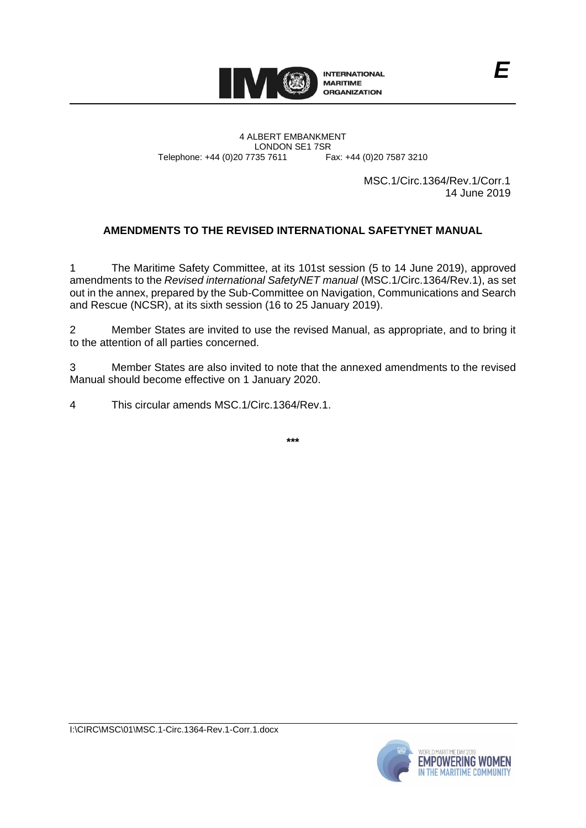

4 ALBERT EMBANKMENT Telephone: +44 (0)20 7735 7611

LONDON SE1 7SR<br>735 7611 Fax: +44 (0)20 7587 3210

MSC.1/Circ.1364/Rev.1/Corr.1 14 June 2019

# **AMENDMENTS TO THE REVISED INTERNATIONAL SAFETYNET MANUAL**

1 The Maritime Safety Committee, at its 101st session (5 to 14 June 2019), approved amendments to the *Revised international SafetyNET manual* (MSC.1/Circ.1364/Rev.1), as set out in the annex, prepared by the Sub-Committee on Navigation, Communications and Search and Rescue (NCSR), at its sixth session (16 to 25 January 2019).

2 Member States are invited to use the revised Manual, as appropriate, and to bring it to the attention of all parties concerned.

3 Member States are also invited to note that the annexed amendments to the revised Manual should become effective on 1 January 2020.

4 This circular amends MSC.1/Circ.1364/Rev.1.

**\*\*\***

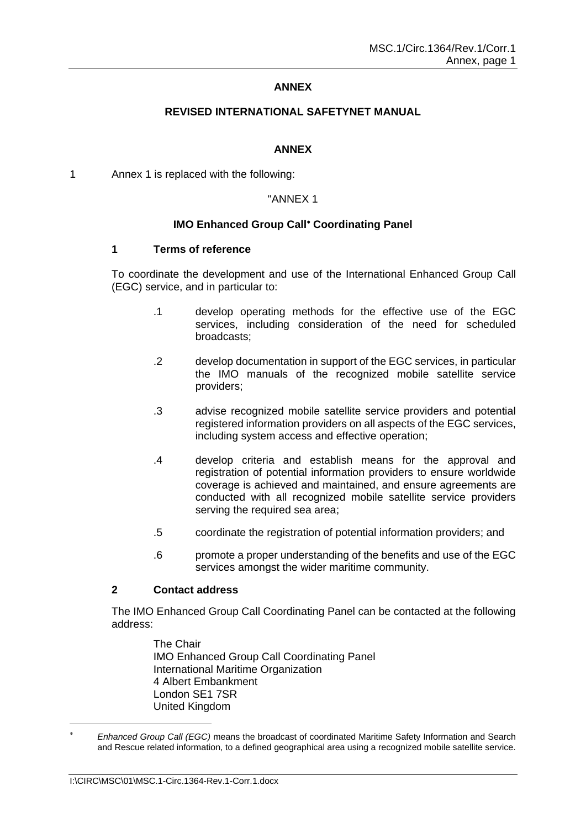### **ANNEX**

### **REVISED INTERNATIONAL SAFETYNET MANUAL**

#### **ANNEX**

1 Annex 1 is replaced with the following:

### "ANNEX 1

### **IMO Enhanced Group Call<sup>\*</sup> Coordinating Panel**

#### **1 Terms of reference**

To coordinate the development and use of the International Enhanced Group Call (EGC) service, and in particular to:

- .1 develop operating methods for the effective use of the EGC services, including consideration of the need for scheduled broadcasts;
- .2 develop documentation in support of the EGC services, in particular the IMO manuals of the recognized mobile satellite service providers;
- .3 advise recognized mobile satellite service providers and potential registered information providers on all aspects of the EGC services, including system access and effective operation;
- .4 develop criteria and establish means for the approval and registration of potential information providers to ensure worldwide coverage is achieved and maintained, and ensure agreements are conducted with all recognized mobile satellite service providers serving the required sea area;
- .5 coordinate the registration of potential information providers; and
- .6 promote a proper understanding of the benefits and use of the EGC services amongst the wider maritime community.

## **2 Contact address**

The IMO Enhanced Group Call Coordinating Panel can be contacted at the following address:

> The Chair IMO Enhanced Group Call Coordinating Panel International Maritime Organization 4 Albert Embankment London SE1 7SR United Kingdom

-

*Enhanced Group Call (EGC)* means the broadcast of coordinated Maritime Safety Information and Search and Rescue related information, to a defined geographical area using a recognized mobile satellite service.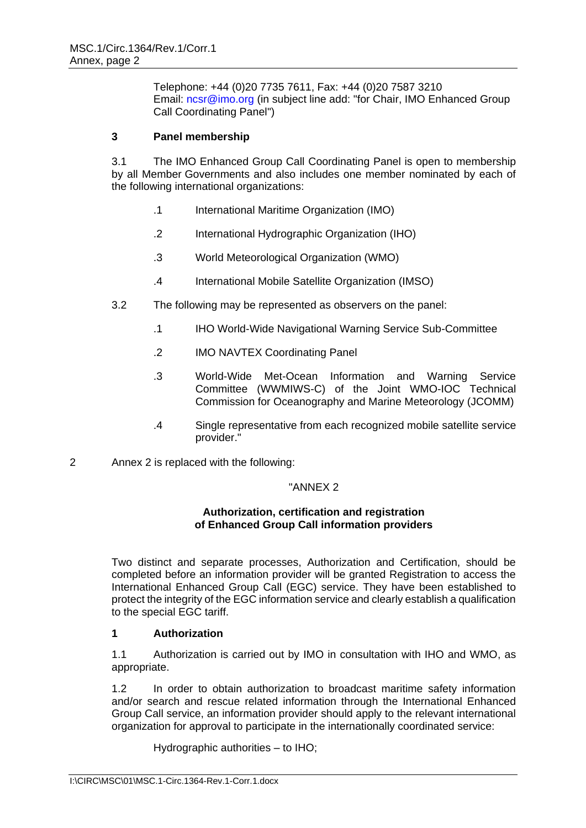Telephone: +44 (0)20 7735 7611, Fax: +44 (0)20 7587 3210 Email: [ncsr@imo.org](mailto:info@imo.org) (in subject line add: "for Chair, IMO Enhanced Group Call Coordinating Panel")

## **3 Panel membership**

3.1 The IMO Enhanced Group Call Coordinating Panel is open to membership by all Member Governments and also includes one member nominated by each of the following international organizations:

- .1 International Maritime Organization (IMO)
- .2 International Hydrographic Organization (IHO)
- .3 World Meteorological Organization (WMO)
- .4 International Mobile Satellite Organization (IMSO)
- 3.2 The following may be represented as observers on the panel:
	- .1 IHO World-Wide Navigational Warning Service Sub-Committee
	- .2 IMO NAVTEX Coordinating Panel
	- .3 World-Wide Met-Ocean Information and Warning Service Committee (WWMIWS-C) of the Joint WMO-IOC Technical Commission for Oceanography and Marine Meteorology (JCOMM)
	- .4 Single representative from each recognized mobile satellite service provider."
- 2 Annex 2 is replaced with the following:

## "ANNEX 2

### **Authorization, certification and registration of Enhanced Group Call information providers**

Two distinct and separate processes, Authorization and Certification, should be completed before an information provider will be granted Registration to access the International Enhanced Group Call (EGC) service. They have been established to protect the integrity of the EGC information service and clearly establish a qualification to the special EGC tariff.

## **1 Authorization**

1.1 Authorization is carried out by IMO in consultation with IHO and WMO, as appropriate.

1.2 In order to obtain authorization to broadcast maritime safety information and/or search and rescue related information through the International Enhanced Group Call service, an information provider should apply to the relevant international organization for approval to participate in the internationally coordinated service:

Hydrographic authorities – to IHO;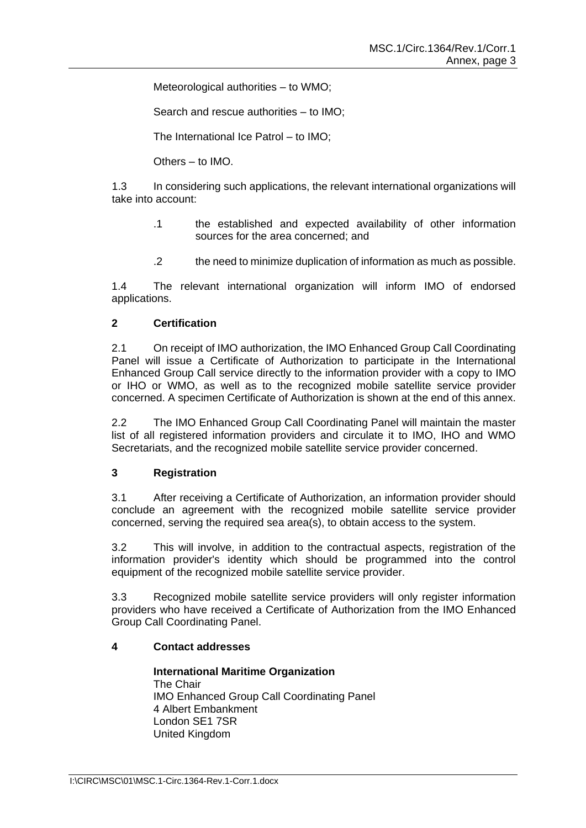Meteorological authorities – to WMO;

Search and rescue authorities – to IMO;

The International Ice Patrol – to IMO;

Others – to IMO.

1.3 In considering such applications, the relevant international organizations will take into account:

- .1 the established and expected availability of other information sources for the area concerned; and
- .2 the need to minimize duplication of information as much as possible.

1.4 The relevant international organization will inform IMO of endorsed applications.

## **2 Certification**

2.1 On receipt of IMO authorization, the IMO Enhanced Group Call Coordinating Panel will issue a Certificate of Authorization to participate in the International Enhanced Group Call service directly to the information provider with a copy to IMO or IHO or WMO, as well as to the recognized mobile satellite service provider concerned. A specimen Certificate of Authorization is shown at the end of this annex.

2.2 The IMO Enhanced Group Call Coordinating Panel will maintain the master list of all registered information providers and circulate it to IMO, IHO and WMO Secretariats, and the recognized mobile satellite service provider concerned.

## **3 Registration**

3.1 After receiving a Certificate of Authorization, an information provider should conclude an agreement with the recognized mobile satellite service provider concerned, serving the required sea area(s), to obtain access to the system.

3.2 This will involve, in addition to the contractual aspects, registration of the information provider's identity which should be programmed into the control equipment of the recognized mobile satellite service provider.

3.3 Recognized mobile satellite service providers will only register information providers who have received a Certificate of Authorization from the IMO Enhanced Group Call Coordinating Panel.

## **4 Contact addresses**

**International Maritime Organization**  The Chair IMO Enhanced Group Call Coordinating Panel 4 Albert Embankment London SE1 7SR United Kingdom